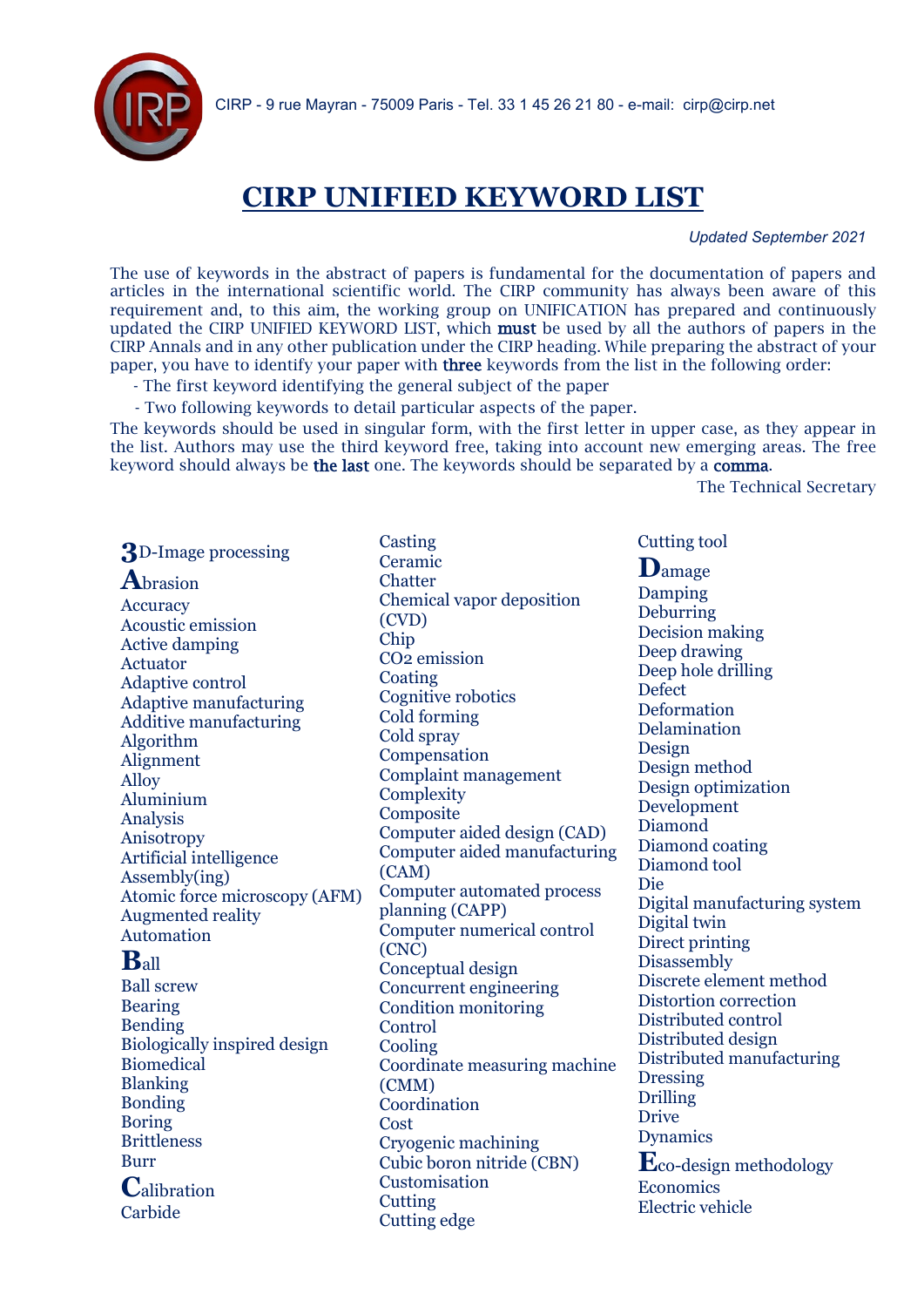

# **CIRP UNIFIED KEYWORD LIST**

 *Updated September 2021*

The use of keywords in the abstract of papers is fundamental for the documentation of papers and articles in the international scientific world. The CIRP community has always been aware of this requirement and, to this aim, the working group on UNIFICATION has prepared and continuously updated the CIRP UNIFIED KEYWORD LIST, which must be used by all the authors of papers in the CIRP Annals and in any other publication under the CIRP heading. While preparing the abstract of your paper, you have to identify your paper with three keywords from the list in the following order:

- The first keyword identifying the general subject of the paper

- Two following keywords to detail particular aspects of the paper.

The keywords should be used in singular form, with the first letter in upper case, as they appear in the list. Authors may use the third keyword free, taking into account new emerging areas. The free keyword should always be the last one. The keywords should be separated by a comma.

The Technical Secretary

**3**D-Image processing

**A**brasion Accuracy Acoustic emission Active damping Actuator Adaptive control Adaptive manufacturing Additive manufacturing Algorithm Alignment Alloy Aluminium Analysis Anisotropy Artificial intelligence Assembly(ing) Atomic force microscopy (AFM) Augmented reality Automation

# **B**all

Ball screw Bearing Bending Biologically inspired design Biomedical Blanking Bonding Boring Brittleness Burr **C**alibration Carbide

Casting Ceramic **Chatter** Chemical vapor deposition (CVD) Chip CO2 emission Coating Cognitive robotics Cold forming Cold spray Compensation Complaint management **Complexity Composite** Computer aided design (CAD) Computer aided manufacturing (CAM) Computer automated process planning (CAPP) Computer numerical control (CNC) Conceptual design Concurrent engineering Condition monitoring Control Cooling Coordinate measuring machine (CMM) Coordination Cost Cryogenic machining Cubic boron nitride (CBN) Customisation **Cutting** Cutting edge

Cutting tool

**D**amage Damping Deburring Decision making Deep drawing Deep hole drilling **Defect** Deformation Delamination Design Design method Design optimization Development Diamond Diamond coating Diamond tool Die Digital manufacturing system Digital twin Direct printing Disassembly Discrete element method Distortion correction Distributed control Distributed design Distributed manufacturing Dressing Drilling Drive Dynamics **E**co-design methodology **Economics** Electric vehicle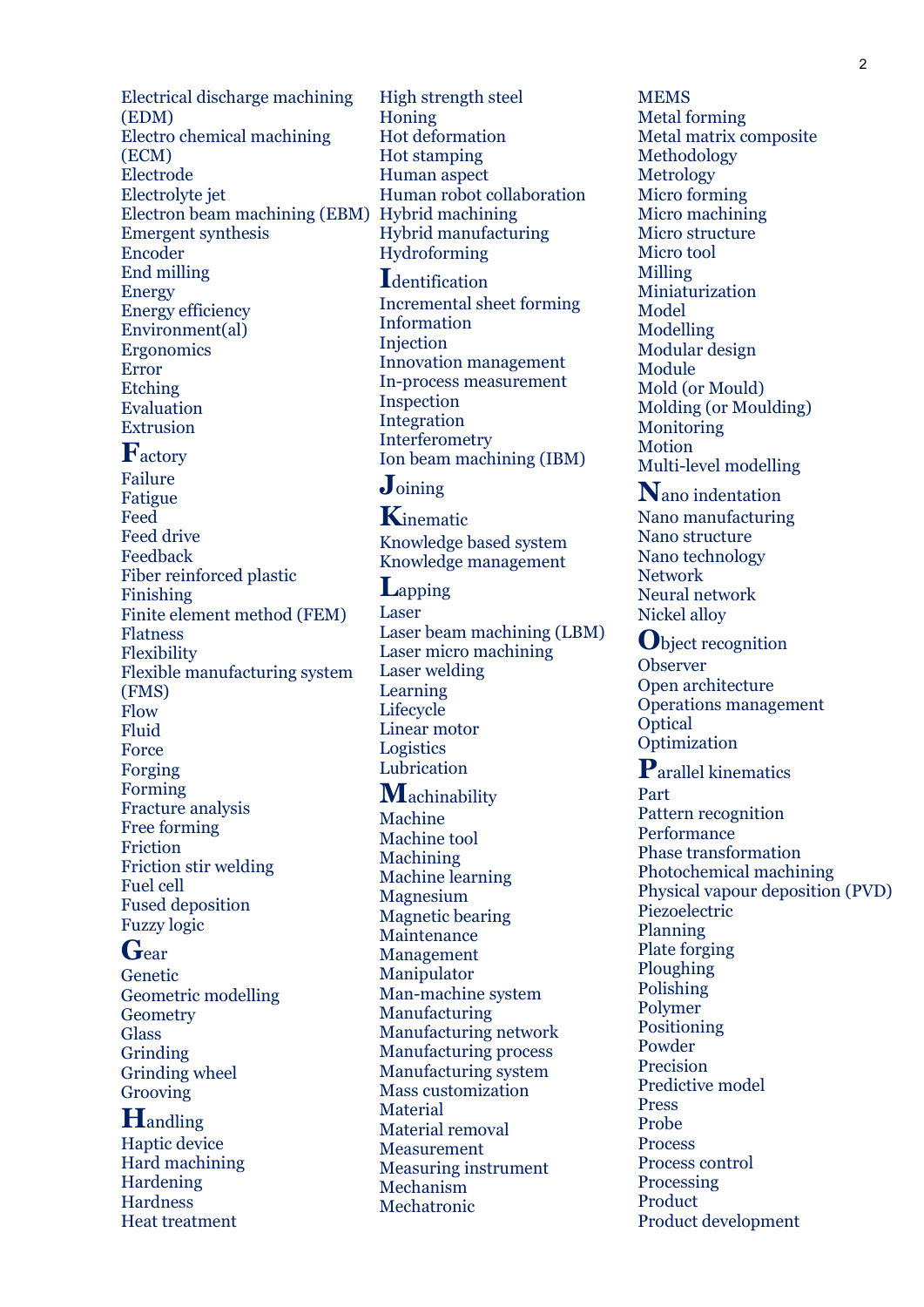Electrical discharge machining (EDM) Electro chemical machining (ECM) Electrode Electrolyte jet Electron beam machining (EBM) Hybrid machining Emergent synthesis Encoder End milling Energy Energy efficiency Environment(al) Ergonomics Error Etching Evaluation Extrusion

## **F**actory

Failure Fatigue Feed Feed drive Feedback Fiber reinforced plastic Finishing Finite element method (FEM) Flatness Flexibility Flexible manufacturing system (FMS) Flow Fluid Force Forging Forming Fracture analysis Free forming Friction Friction stir welding Fuel cell Fused deposition Fuzzy logic

## **G**ear

Genetic Geometric modelling Geometry Glass Grinding Grinding wheel Grooving

### **H**andling

Haptic device Hard machining Hardening Hardness Heat treatment

High strength steel Honing Hot deformation Hot stamping Human aspect Human robot collaboration Hybrid manufacturing Hydroforming

#### **I**dentification

Incremental sheet forming Information Injection Innovation management In-process measurement Inspection Integration Interferometry Ion beam machining (IBM)

# **J**oining

**K**inematic Knowledge based system Knowledge management

**L**apping Laser Laser beam machining (LBM) Laser micro machining Laser welding Learning **Lifecycle** Linear motor Logistics Lubrication

## **M**achinability

Machine Machine tool Machining Machine learning Magnesium Magnetic bearing Maintenance Management Manipulator Man-machine system Manufacturing Manufacturing network Manufacturing process Manufacturing system Mass customization Material Material removal Measurement Measuring instrument Mechanism Mechatronic

**MEMS** Metal forming Metal matrix composite Methodology Metrology Micro forming Micro machining Micro structure Micro tool Milling Miniaturization Model Modelling Modular design Module Mold (or Mould) Molding (or Moulding) **Monitoring** Motion Multi-level modelling

**N**ano indentation Nano manufacturing Nano structure Nano technology Network Neural network Nickel alloy

**O**bject recognition Observer Open architecture Operations management **Optical** Optimization

**P**arallel kinematics Part Pattern recognition **Performance** Phase transformation Photochemical machining Physical vapour deposition (PVD) Piezoelectric Planning Plate forging Ploughing Polishing Polymer Positioning Powder Precision Predictive model Press Probe Process Process control Processing Product Product development